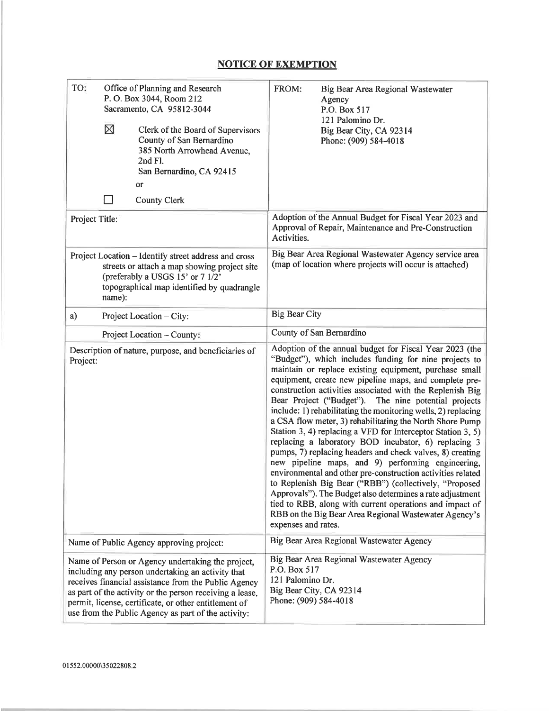## **NOTICE OF EXEMPTION**

| TO:            | Office of Planning and Research<br>P. O. Box 3044, Room 212<br>Sacramento, CA 95812-3044<br>⊠<br>Clerk of the Board of Supervisors<br>County of San Bernardino<br>385 North Arrowhead Avenue,<br>2nd Fl.<br>San Bernardino, CA 92415<br>or                                                                                                 | FROM:<br>Big Bear Area Regional Wastewater<br>Agency<br>P.O. Box 517<br>121 Palomino Dr.<br>Big Bear City, CA 92314<br>Phone: (909) 584-4018                                                                                                                                                                                                                                                                                                                                                                                                                                                                                                                                                                                                                                                                                                                                                                                                                                                                                                                       |
|----------------|--------------------------------------------------------------------------------------------------------------------------------------------------------------------------------------------------------------------------------------------------------------------------------------------------------------------------------------------|--------------------------------------------------------------------------------------------------------------------------------------------------------------------------------------------------------------------------------------------------------------------------------------------------------------------------------------------------------------------------------------------------------------------------------------------------------------------------------------------------------------------------------------------------------------------------------------------------------------------------------------------------------------------------------------------------------------------------------------------------------------------------------------------------------------------------------------------------------------------------------------------------------------------------------------------------------------------------------------------------------------------------------------------------------------------|
|                | <b>County Clerk</b>                                                                                                                                                                                                                                                                                                                        |                                                                                                                                                                                                                                                                                                                                                                                                                                                                                                                                                                                                                                                                                                                                                                                                                                                                                                                                                                                                                                                                    |
| Project Title: |                                                                                                                                                                                                                                                                                                                                            | Adoption of the Annual Budget for Fiscal Year 2023 and<br>Approval of Repair, Maintenance and Pre-Construction<br>Activities.                                                                                                                                                                                                                                                                                                                                                                                                                                                                                                                                                                                                                                                                                                                                                                                                                                                                                                                                      |
|                | Project Location - Identify street address and cross<br>streets or attach a map showing project site<br>(preferably a USGS 15' or 7 1/2'<br>topographical map identified by quadrangle<br>name):                                                                                                                                           | Big Bear Area Regional Wastewater Agency service area<br>(map of location where projects will occur is attached)                                                                                                                                                                                                                                                                                                                                                                                                                                                                                                                                                                                                                                                                                                                                                                                                                                                                                                                                                   |
| a)             | Project Location - City:                                                                                                                                                                                                                                                                                                                   | <b>Big Bear City</b>                                                                                                                                                                                                                                                                                                                                                                                                                                                                                                                                                                                                                                                                                                                                                                                                                                                                                                                                                                                                                                               |
|                | Project Location - County:                                                                                                                                                                                                                                                                                                                 | County of San Bernardino                                                                                                                                                                                                                                                                                                                                                                                                                                                                                                                                                                                                                                                                                                                                                                                                                                                                                                                                                                                                                                           |
| Project:       | Description of nature, purpose, and beneficiaries of                                                                                                                                                                                                                                                                                       | Adoption of the annual budget for Fiscal Year 2023 (the<br>"Budget"), which includes funding for nine projects to<br>maintain or replace existing equipment, purchase small<br>equipment, create new pipeline maps, and complete pre-<br>construction activities associated with the Replenish Big<br>Bear Project ("Budget"). The nine potential projects<br>include: 1) rehabilitating the monitoring wells, 2) replacing<br>a CSA flow meter, 3) rehabilitating the North Shore Pump<br>Station 3, 4) replacing a VFD for Interceptor Station 3, 5)<br>replacing a laboratory BOD incubator, 6) replacing 3<br>pumps, 7) replacing headers and check valves, 8) creating<br>new pipeline maps, and 9) performing engineering,<br>environmental and other pre-construction activities related<br>to Replenish Big Bear ("RBB") (collectively, "Proposed<br>Approvals"). The Budget also determines a rate adjustment<br>tied to RBB, along with current operations and impact of<br>RBB on the Big Bear Area Regional Wastewater Agency's<br>expenses and rates. |
|                | Name of Public Agency approving project:                                                                                                                                                                                                                                                                                                   | Big Bear Area Regional Wastewater Agency                                                                                                                                                                                                                                                                                                                                                                                                                                                                                                                                                                                                                                                                                                                                                                                                                                                                                                                                                                                                                           |
|                | Name of Person or Agency undertaking the project,<br>including any person undertaking an activity that<br>receives financial assistance from the Public Agency<br>as part of the activity or the person receiving a lease,<br>permit, license, certificate, or other entitlement of<br>use from the Public Agency as part of the activity: | Big Bear Area Regional Wastewater Agency<br>P.O. Box 517<br>121 Palomino Dr.<br>Big Bear City, CA 92314<br>Phone: (909) 584-4018                                                                                                                                                                                                                                                                                                                                                                                                                                                                                                                                                                                                                                                                                                                                                                                                                                                                                                                                   |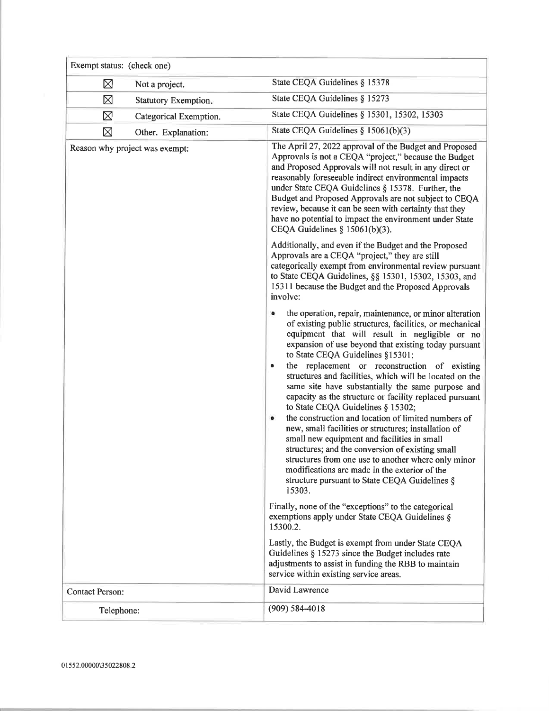| Exempt status: (check one) |                                |                                                                                                                                                                                                                                                                                                                                                                                                                                                                                                                                                                                                                                                                                                                                                                                                                                                                                                                                                                                                                                                                 |
|----------------------------|--------------------------------|-----------------------------------------------------------------------------------------------------------------------------------------------------------------------------------------------------------------------------------------------------------------------------------------------------------------------------------------------------------------------------------------------------------------------------------------------------------------------------------------------------------------------------------------------------------------------------------------------------------------------------------------------------------------------------------------------------------------------------------------------------------------------------------------------------------------------------------------------------------------------------------------------------------------------------------------------------------------------------------------------------------------------------------------------------------------|
| ⊠                          | Not a project.                 | State CEQA Guidelines § 15378                                                                                                                                                                                                                                                                                                                                                                                                                                                                                                                                                                                                                                                                                                                                                                                                                                                                                                                                                                                                                                   |
| ⊠                          | Statutory Exemption.           | State CEQA Guidelines § 15273                                                                                                                                                                                                                                                                                                                                                                                                                                                                                                                                                                                                                                                                                                                                                                                                                                                                                                                                                                                                                                   |
| ⊠                          | Categorical Exemption.         | State CEQA Guidelines § 15301, 15302, 15303                                                                                                                                                                                                                                                                                                                                                                                                                                                                                                                                                                                                                                                                                                                                                                                                                                                                                                                                                                                                                     |
| ⊠                          | Other. Explanation:            | State CEQA Guidelines $§ 15061(b)(3)$                                                                                                                                                                                                                                                                                                                                                                                                                                                                                                                                                                                                                                                                                                                                                                                                                                                                                                                                                                                                                           |
|                            | Reason why project was exempt: | The April 27, 2022 approval of the Budget and Proposed<br>Approvals is not a CEQA "project," because the Budget<br>and Proposed Approvals will not result in any direct or<br>reasonably foreseeable indirect environmental impacts<br>under State CEQA Guidelines § 15378. Further, the<br>Budget and Proposed Approvals are not subject to CEQA<br>review, because it can be seen with certainty that they<br>have no potential to impact the environment under State<br>CEQA Guidelines $\S$ 15061(b)(3).                                                                                                                                                                                                                                                                                                                                                                                                                                                                                                                                                    |
|                            |                                | Additionally, and even if the Budget and the Proposed<br>Approvals are a CEQA "project," they are still<br>categorically exempt from environmental review pursuant<br>to State CEQA Guidelines, §§ 15301, 15302, 15303, and<br>15311 because the Budget and the Proposed Approvals<br>involve:                                                                                                                                                                                                                                                                                                                                                                                                                                                                                                                                                                                                                                                                                                                                                                  |
|                            |                                | the operation, repair, maintenance, or minor alteration<br>of existing public structures, facilities, or mechanical<br>equipment that will result in negligible or no<br>expansion of use beyond that existing today pursuant<br>to State CEQA Guidelines §15301;<br>the replacement or reconstruction of existing<br>۰<br>structures and facilities, which will be located on the<br>same site have substantially the same purpose and<br>capacity as the structure or facility replaced pursuant<br>to State CEQA Guidelines § 15302;<br>the construction and location of limited numbers of<br>$\bullet$<br>new, small facilities or structures; installation of<br>small new equipment and facilities in small<br>structures; and the conversion of existing small<br>structures from one use to another where only minor<br>modifications are made in the exterior of the<br>structure pursuant to State CEQA Guidelines §<br>15303.<br>Finally, none of the "exceptions" to the categorical<br>exemptions apply under State CEQA Guidelines §<br>15300.2. |
|                            |                                | Lastly, the Budget is exempt from under State CEQA<br>Guidelines § 15273 since the Budget includes rate<br>adjustments to assist in funding the RBB to maintain<br>service within existing service areas.                                                                                                                                                                                                                                                                                                                                                                                                                                                                                                                                                                                                                                                                                                                                                                                                                                                       |
| <b>Contact Person:</b>     |                                | David Lawrence                                                                                                                                                                                                                                                                                                                                                                                                                                                                                                                                                                                                                                                                                                                                                                                                                                                                                                                                                                                                                                                  |
| Telephone:                 |                                | $(909) 584 - 4018$                                                                                                                                                                                                                                                                                                                                                                                                                                                                                                                                                                                                                                                                                                                                                                                                                                                                                                                                                                                                                                              |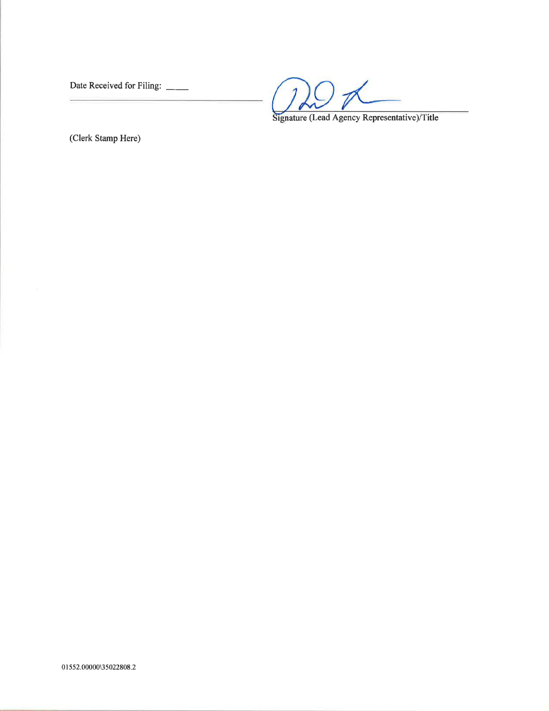Date Received for Filing: \_\_\_

 $\mathcal{Q} \not\sim$  $\mathcal{I}$ .

Signature (Lead Agency Representative)/Title

(Clerk Stamp Here)